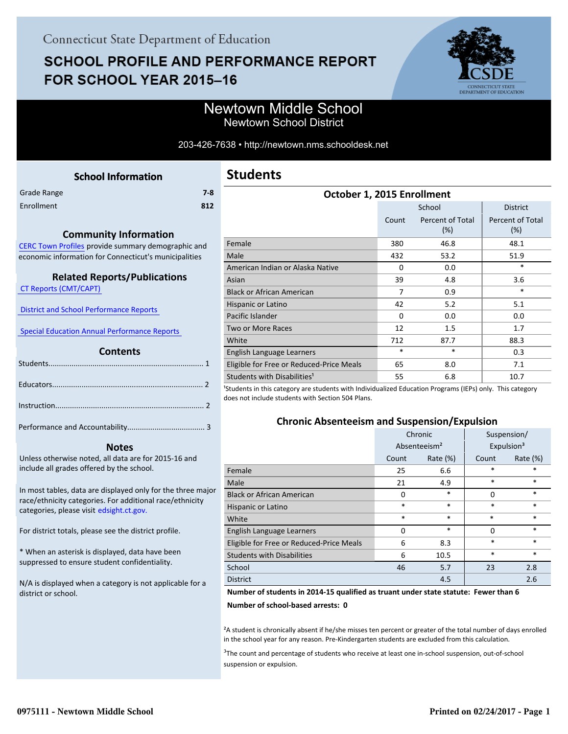# **SCHOOL PROFILE AND PERFORMANCE REPORT** FOR SCHOOL YEAR 2015-16



### Newtown Middle School Newtown School District

#### 203-426-7638 • http://newtown.nms.schooldesk.net

<span id="page-0-0"></span>

|             | <b>School Information</b> |     |
|-------------|---------------------------|-----|
| Grade Range |                           | 7-8 |
| Enrollment  |                           | 812 |
|             |                           |     |

#### **Community Information**

[CERC Town Profiles provide summary demographic and](http://www.cerc.com/townprofiles/) economic information for Connecticut's municipalities

#### **Related Reports/Publications**

 [CT Reports \(CMT/CAPT\)](http://ctreports.com/) 

 [District and School Performance Reports](http://www.csde.state.ct.us/public/performancereports/reports.asp) 

 [Special Education Annual Performance Reports](http://edsight.ct.gov/SASPortal/main.do) 

#### **Contents**

 **Notes**

Performance and Accountability..................................... 3 .

Unless otherwise noted, all data are for 2015-16 and include all grades offered by the school.

[In most tables, data are displayed only for the three major](http://edsight.ct.gov/) race/ethnicity categories. For additional race/ethnicity categories, please visit edsight.ct.gov.

For district totals, please see the district profile.

\* When an asterisk is displayed, data have been suppressed to ensure student confidentiality.

N/A is displayed when a category is not applicable for a district or school.

| October 1, 2015 Enrollment               |          |                         |                                |  |  |  |
|------------------------------------------|----------|-------------------------|--------------------------------|--|--|--|
|                                          |          | School                  | <b>District</b>                |  |  |  |
|                                          | Count    | Percent of Total<br>(%) | <b>Percent of Total</b><br>(%) |  |  |  |
| Female                                   | 380      | 46.8                    | 48.1                           |  |  |  |
| Male                                     | 432      | 53.2                    | 51.9                           |  |  |  |
| American Indian or Alaska Native         | $\Omega$ | 0.0                     | $\ast$                         |  |  |  |
| Asian                                    | 39       | 4.8                     | 3.6                            |  |  |  |
| <b>Black or African American</b>         | 7        | 0.9                     | *                              |  |  |  |
| Hispanic or Latino                       | 42       | 5.2                     | 5.1                            |  |  |  |
| Pacific Islander                         | $\Omega$ | 0.0                     | 0.0                            |  |  |  |
| <b>Two or More Races</b>                 | 12       | 1.5                     | 1.7                            |  |  |  |
| White                                    | 712      | 87.7                    | 88.3                           |  |  |  |
| English Language Learners                | *        | $\ast$                  | 0.3                            |  |  |  |
| Eligible for Free or Reduced-Price Meals | 65       | 8.0                     | 7.1                            |  |  |  |
| Students with Disabilities <sup>1</sup>  | 55       | 6.8                     | 10.7                           |  |  |  |

<sup>1</sup>Students in this category are students with Individualized Education Programs (IEPs) only. This category does not include students with Section 504 Plans.

#### **Chronic Absenteeism and Suspension/Expulsion**

|                                          | Chronic                  |             | Suspension/ |                        |
|------------------------------------------|--------------------------|-------------|-------------|------------------------|
|                                          | Absenteeism <sup>2</sup> |             |             | Expulsion <sup>3</sup> |
|                                          | Count                    | Rate $(\%)$ | Count       | Rate (%)               |
| Female                                   | 25                       | 6.6         | *           | *                      |
| Male                                     | 21                       | 4.9         | $\ast$      | $\ast$                 |
| <b>Black or African American</b>         | 0                        | $\ast$      | $\Omega$    | $\ast$                 |
| Hispanic or Latino                       | *                        | $\ast$      | $\ast$      | $\ast$                 |
| White                                    | *                        | $\ast$      | $\ast$      | $\ast$                 |
| English Language Learners                | O                        | $\ast$      | $\Omega$    | $\ast$                 |
| Eligible for Free or Reduced-Price Meals | 6                        | 8.3         | $\ast$      | $\ast$                 |
| <b>Students with Disabilities</b>        | 6                        | 10.5        | *           | $\ast$                 |
| School                                   | 46                       | 5.7         | 23          | 2.8                    |
| <b>District</b>                          |                          | 4.5         |             | 2.6                    |

#### **Number of students in 2014-15 qualified as truant under state statute: Fewer than 6**

**Number of school-based arrests: 0**

²A student is chronically absent if he/she misses ten percent or greater of the total number of days enrolled in the school year for any reason. Pre-Kindergarten students are excluded from this calculation.

<sup>3</sup>The count and percentage of students who receive at least one in-school suspension, out-of-school suspension or expulsion.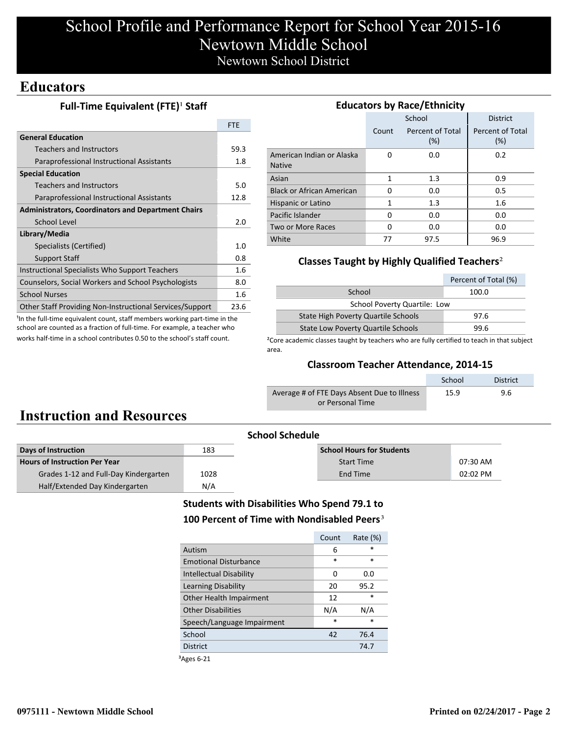# School Profile and Performance Report for School Year 2015-16 Newtown Middle School Newtown School District

### **Educators**

#### **Full-Time Equivalent (FTE)<sup>1</sup> Staff**

|                                                           | <b>FTE</b>  |
|-----------------------------------------------------------|-------------|
| <b>General Education</b>                                  |             |
| <b>Teachers and Instructors</b>                           | 59.3        |
| Paraprofessional Instructional Assistants                 | 1.8         |
| <b>Special Education</b>                                  |             |
| <b>Teachers and Instructors</b>                           | 5.0         |
| Paraprofessional Instructional Assistants                 | 12.8        |
| <b>Administrators, Coordinators and Department Chairs</b> |             |
| School Level                                              |             |
| Library/Media                                             |             |
| Specialists (Certified)                                   | 1. $\Omega$ |
| <b>Support Staff</b>                                      | 0.8         |
| Instructional Specialists Who Support Teachers            | 1.6         |
| Counselors, Social Workers and School Psychologists       | 8.0         |
| <b>School Nurses</b>                                      | 1.6         |
| Other Staff Providing Non-Instructional Services/Support  | 23.6        |
|                                                           |             |

<sup>1</sup>In the full-time equivalent count, staff members working part-time in the school are counted as a fraction of full-time. For example, a teacher who works half-time in a school contributes 0.50 to the school's staff count.

| <b>Educators by Race/Ethnicity</b>         |          |                         |                         |  |  |  |
|--------------------------------------------|----------|-------------------------|-------------------------|--|--|--|
|                                            |          | School                  | <b>District</b>         |  |  |  |
|                                            | Count    | Percent of Total<br>(%) | Percent of Total<br>(%) |  |  |  |
| American Indian or Alaska<br><b>Native</b> | O        | 0.0                     | 0.2                     |  |  |  |
| Asian                                      | 1        | 1.3                     | 0.9                     |  |  |  |
| <b>Black or African American</b>           | O        | 0.0                     | 0.5                     |  |  |  |
| Hispanic or Latino                         | 1        | 1.3                     | 1.6                     |  |  |  |
| Pacific Islander                           | $\Omega$ | 0.0                     | 0.0                     |  |  |  |
| Two or More Races                          | O        | 0.0                     | 0.0                     |  |  |  |
| White                                      | 77       | 97.5                    | 96.9                    |  |  |  |

#### **Classes Taught by Highly Qualified Teachers**²

|                                           | Percent of Total (%) |  |  |  |
|-------------------------------------------|----------------------|--|--|--|
| School                                    | 100.0                |  |  |  |
| <b>School Poverty Quartile: Low</b>       |                      |  |  |  |
| State High Poverty Quartile Schools       | 97.6                 |  |  |  |
| <b>State Low Poverty Quartile Schools</b> | 99.6                 |  |  |  |

<sup>2</sup>Core academic classes taught by teachers who are fully certified to teach in that subject area.

#### **Classroom Teacher Attendance, 2014-15**

|                                             | School | <b>District</b> |
|---------------------------------------------|--------|-----------------|
| Average # of FTE Days Absent Due to Illness | 15.9   | 9.6             |
| or Personal Time                            |        |                 |

# **Instruction and Resources**

| <b>School Schedule</b>                |      |                                  |            |  |  |
|---------------------------------------|------|----------------------------------|------------|--|--|
| Days of Instruction                   | 183  | <b>School Hours for Students</b> |            |  |  |
| <b>Hours of Instruction Per Year</b>  |      | <b>Start Time</b>                | 07:30 AM   |  |  |
| Grades 1-12 and Full-Day Kindergarten | 1028 | End Time                         | $02:02$ PM |  |  |
| Half/Extended Day Kindergarten        | N/A  |                                  |            |  |  |

#### **Students with Disabilities Who Spend 79.1 to** 100 Percent of Time with Nondisabled Peers<sup>3</sup>

|                                | Count  | Rate $(\%)$ |
|--------------------------------|--------|-------------|
| Autism                         | 6      | $\star$     |
| <b>Emotional Disturbance</b>   | $\ast$ | $\ast$      |
| <b>Intellectual Disability</b> | O      | 0.0         |
| Learning Disability            | 20     | 95.2        |
| Other Health Impairment        | 12     | $\ast$      |
| <b>Other Disabilities</b>      | N/A    | N/A         |
| Speech/Language Impairment     | $\ast$ | *           |
| School                         | 42     | 76.4        |
| <b>District</b>                |        | 74.7        |

³Ages 6-21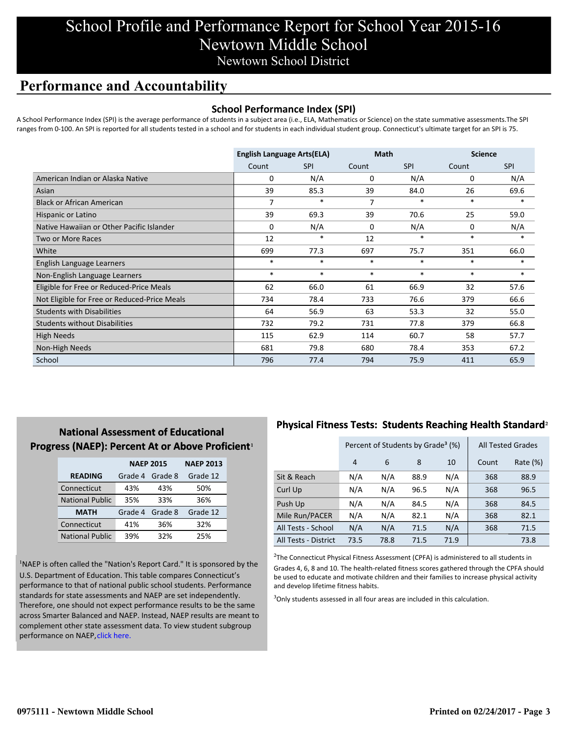## School Profile and Performance Report for School Year 2015-16 Newtown Middle School Newtown School District

### **Performance and Accountability**

#### **School Performance Index (SPI)**

A School Performance Index (SPI) is the average performance of students in a subject area (i.e., ELA, Mathematics or Science) on the state summative assessments.The SPI ranges from 0-100. An SPI is reported for all students tested in a school and for students in each individual student group. Connecticut's ultimate target for an SPI is 75.

|                                              | <b>English Language Arts(ELA)</b> |            | <b>Math</b> |            | <b>Science</b> |            |
|----------------------------------------------|-----------------------------------|------------|-------------|------------|----------------|------------|
|                                              | Count                             | <b>SPI</b> | Count       | <b>SPI</b> | Count          | <b>SPI</b> |
| American Indian or Alaska Native             | 0                                 | N/A        | 0           | N/A        | 0              | N/A        |
| Asian                                        | 39                                | 85.3       | 39          | 84.0       | 26             | 69.6       |
| <b>Black or African American</b>             | 7                                 | $\ast$     | 7           | $\ast$     | $\ast$         | $\ast$     |
| Hispanic or Latino                           | 39                                | 69.3       | 39          | 70.6       | 25             | 59.0       |
| Native Hawaiian or Other Pacific Islander    | $\Omega$                          | N/A        | $\mathbf 0$ | N/A        | 0              | N/A        |
| Two or More Races                            | 12                                | $\ast$     | 12          | $\ast$     | $\ast$         | $\ast$     |
| White                                        | 699                               | 77.3       | 697         | 75.7       | 351            | 66.0       |
| English Language Learners                    | $\ast$                            | $\ast$     | $\ast$      | $\ast$     | $\ast$         | $\ast$     |
| Non-English Language Learners                | $\ast$                            | $\ast$     | $\ast$      | $\ast$     | $\ast$         | $\ast$     |
| Eligible for Free or Reduced-Price Meals     | 62                                | 66.0       | 61          | 66.9       | 32             | 57.6       |
| Not Eligible for Free or Reduced-Price Meals | 734                               | 78.4       | 733         | 76.6       | 379            | 66.6       |
| <b>Students with Disabilities</b>            | 64                                | 56.9       | 63          | 53.3       | 32             | 55.0       |
| <b>Students without Disabilities</b>         | 732                               | 79.2       | 731         | 77.8       | 379            | 66.8       |
| <b>High Needs</b>                            | 115                               | 62.9       | 114         | 60.7       | 58             | 57.7       |
| Non-High Needs                               | 681                               | 79.8       | 680         | 78.4       | 353            | 67.2       |
| School                                       | 796                               | 77.4       | 794         | 75.9       | 411            | 65.9       |

### **National Assessment of Educational Progress (NAEP): Percent At or Above Proficient1**

|                        | <b>NAEP 2015</b> | <b>NAEP 2013</b> |          |
|------------------------|------------------|------------------|----------|
| <b>READING</b>         | Grade 4          | Grade 8          | Grade 12 |
| Connecticut            | 43%              | 43%              | 50%      |
| <b>National Public</b> | 35%              | 33%              | 36%      |
| <b>MATH</b>            | Grade 4          | Grade 8          | Grade 12 |
| Connecticut            | 41%              | 36%              | 32%      |
| <b>National Public</b> | 39%              | 32%              | 25%      |

<sup>1</sup>NAEP is often called the "Nation's Report Card." It is sponsored by the U.S. Department of Education. This table compares Connecticut's performance to that of national public school students. Performance standards for state assessments and NAEP are set independently. Therefore, one should not expect performance results to be the same [across Smarter Balanced and NAEP. Instead, NAEP results are meant to](http://www.sde.ct.gov/sde/lib/sde/pdf/evalresearch/ct_naep_2015_results_by_performance_level.pdf) complement other state assessment data. To view student subgroup performance on NAEP, click here.

### **Physical Fitness Tests: Students Reaching Health Standard**²

|                      | Percent of Students by Grade <sup>3</sup> (%) |      |      |      | <b>All Tested Grades</b> |          |
|----------------------|-----------------------------------------------|------|------|------|--------------------------|----------|
|                      | 4                                             | 6    | 8    | 10   | Count                    | Rate (%) |
| Sit & Reach          | N/A                                           | N/A  | 88.9 | N/A  | 368                      | 88.9     |
| Curl Up              | N/A                                           | N/A  | 96.5 | N/A  | 368                      | 96.5     |
| Push Up              | N/A                                           | N/A  | 84.5 | N/A  | 368                      | 84.5     |
| Mile Run/PACER       | N/A                                           | N/A  | 82.1 | N/A  | 368                      | 82.1     |
| All Tests - School   | N/A                                           | N/A  | 71.5 | N/A  | 368                      | 71.5     |
| All Tests - District | 73.5                                          | 78.8 | 71.5 | 71.9 |                          | 73.8     |

 $2$ The Connecticut Physical Fitness Assessment (CPFA) is administered to all students in Grades 4, 6, 8 and 10. The health-related fitness scores gathered through the CPFA should be used to educate and motivate children and their families to increase physical activity and develop lifetime fitness habits.

<sup>3</sup>Only students assessed in all four areas are included in this calculation.